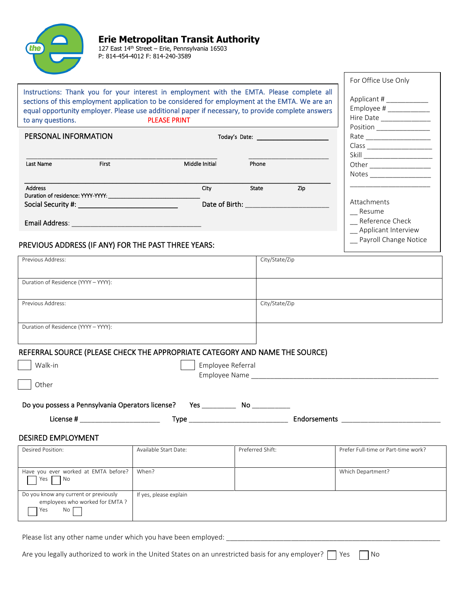

P: 814-454-4012 F: 814-240-3589

|                                                                                                                                                                                                                                                                                                                        |                                                                                                                       |                   |     | For Office Use Only                                                          |
|------------------------------------------------------------------------------------------------------------------------------------------------------------------------------------------------------------------------------------------------------------------------------------------------------------------------|-----------------------------------------------------------------------------------------------------------------------|-------------------|-----|------------------------------------------------------------------------------|
| Instructions: Thank you for your interest in employment with the EMTA. Please complete all<br>sections of this employment application to be considered for employment at the EMTA. We are an<br>equal opportunity employer. Please use additional paper if necessary, to provide complete answers<br>to any questions. | <b>PLEASE PRINT</b>                                                                                                   |                   |     | Applicant # ___________<br>Employee # $\frac{$<br>Hire Date ________________ |
| PERSONAL INFORMATION                                                                                                                                                                                                                                                                                                   |                                                                                                                       |                   |     | Position ________________                                                    |
|                                                                                                                                                                                                                                                                                                                        |                                                                                                                       |                   |     |                                                                              |
|                                                                                                                                                                                                                                                                                                                        |                                                                                                                       | Phone             |     |                                                                              |
| <b>First</b><br>Last Name                                                                                                                                                                                                                                                                                              | Middle Initial                                                                                                        |                   |     |                                                                              |
|                                                                                                                                                                                                                                                                                                                        |                                                                                                                       |                   |     |                                                                              |
| <b>Address</b>                                                                                                                                                                                                                                                                                                         | City                                                                                                                  | State             | Zip |                                                                              |
|                                                                                                                                                                                                                                                                                                                        |                                                                                                                       |                   |     | Attachments                                                                  |
|                                                                                                                                                                                                                                                                                                                        |                                                                                                                       |                   |     | _ Resume                                                                     |
| <b>Email Address:</b>                                                                                                                                                                                                                                                                                                  | <u> 1990 - Johann John Stone, mars eta bainar eta baina eta hiri eta baina eta baina eta baina eta baina eta bain</u> |                   |     | Reference Check                                                              |
|                                                                                                                                                                                                                                                                                                                        |                                                                                                                       |                   |     | Applicant Interview                                                          |
| PREVIOUS ADDRESS (IF ANY) FOR THE PAST THREE YEARS:                                                                                                                                                                                                                                                                    |                                                                                                                       |                   |     | Payroll Change Notice                                                        |
|                                                                                                                                                                                                                                                                                                                        |                                                                                                                       |                   |     |                                                                              |
| Previous Address:                                                                                                                                                                                                                                                                                                      |                                                                                                                       | City/State/Zip    |     |                                                                              |
|                                                                                                                                                                                                                                                                                                                        |                                                                                                                       |                   |     |                                                                              |
| Duration of Residence (YYYY - YYYY):                                                                                                                                                                                                                                                                                   |                                                                                                                       |                   |     |                                                                              |
|                                                                                                                                                                                                                                                                                                                        |                                                                                                                       |                   |     |                                                                              |
| Previous Address:                                                                                                                                                                                                                                                                                                      |                                                                                                                       | City/State/Zip    |     |                                                                              |
|                                                                                                                                                                                                                                                                                                                        |                                                                                                                       |                   |     |                                                                              |
| Duration of Residence (YYYY - YYYY):                                                                                                                                                                                                                                                                                   |                                                                                                                       |                   |     |                                                                              |
|                                                                                                                                                                                                                                                                                                                        |                                                                                                                       |                   |     |                                                                              |
| REFERRAL SOURCE (PLEASE CHECK THE APPROPRIATE CATEGORY AND NAME THE SOURCE)                                                                                                                                                                                                                                            |                                                                                                                       |                   |     |                                                                              |
|                                                                                                                                                                                                                                                                                                                        |                                                                                                                       |                   |     |                                                                              |
| Walk-in                                                                                                                                                                                                                                                                                                                |                                                                                                                       | Employee Referral |     |                                                                              |
| Other                                                                                                                                                                                                                                                                                                                  |                                                                                                                       |                   |     |                                                                              |
|                                                                                                                                                                                                                                                                                                                        |                                                                                                                       |                   |     |                                                                              |
| Do you possess a Pennsylvania Operators license? Yes _____________ No __________                                                                                                                                                                                                                                       |                                                                                                                       |                   |     |                                                                              |
|                                                                                                                                                                                                                                                                                                                        |                                                                                                                       |                   |     |                                                                              |
| License # _________________________________                                                                                                                                                                                                                                                                            |                                                                                                                       |                   |     |                                                                              |
| <b>DESIRED EMPLOYMENT</b>                                                                                                                                                                                                                                                                                              |                                                                                                                       |                   |     |                                                                              |
| Desired Position:                                                                                                                                                                                                                                                                                                      | Available Start Date:                                                                                                 | Preferred Shift:  |     | Prefer Full-time or Part-time work?                                          |
|                                                                                                                                                                                                                                                                                                                        |                                                                                                                       |                   |     |                                                                              |
| Have you ever worked at EMTA before?                                                                                                                                                                                                                                                                                   | When?                                                                                                                 |                   |     | Which Department?                                                            |
| Yes  <br>No                                                                                                                                                                                                                                                                                                            |                                                                                                                       |                   |     |                                                                              |
| Do you know any current or previously                                                                                                                                                                                                                                                                                  | If yes, please explain                                                                                                |                   |     |                                                                              |
| employees who worked for EMTA ?                                                                                                                                                                                                                                                                                        |                                                                                                                       |                   |     |                                                                              |
| Yes<br>No I                                                                                                                                                                                                                                                                                                            |                                                                                                                       |                   |     |                                                                              |

Please list any other name under which you have been employed: \_\_\_\_\_\_\_\_\_\_\_\_\_\_\_\_\_\_\_\_\_\_\_\_\_\_\_\_\_\_\_\_\_\_\_\_\_\_\_\_\_\_\_\_\_\_\_\_\_\_\_\_\_\_\_\_

Are you legally authorized to work in the United States on an unrestricted basis for any employer?  $\Box$  Yes  $\Box$  No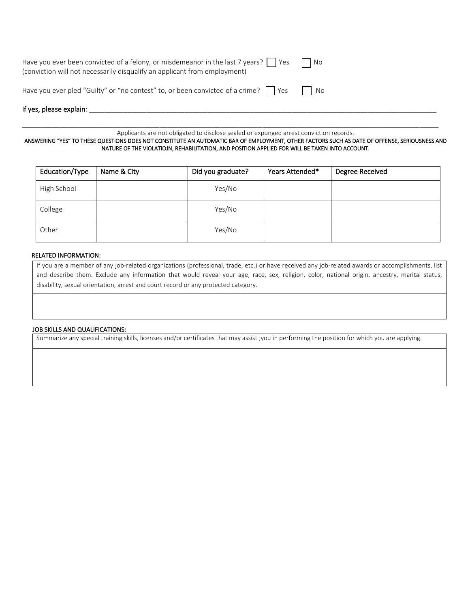| If yes, please explain:                                                                                                                                                |      |
|------------------------------------------------------------------------------------------------------------------------------------------------------------------------|------|
| Have you ever pled "Guilty" or "no contest" to, or been convicted of a crime?                                                                                          | l No |
| Have you ever been convicted of a felony, or misdemeanor in the last 7 years? $\vert$ Yes<br>(conviction will not necessarily disqualify an applicant from employment) | - No |

\_\_\_\_\_\_\_\_\_\_\_\_\_\_\_\_\_\_\_\_\_\_\_\_\_\_\_\_\_\_\_\_\_\_\_\_\_\_\_\_\_\_\_\_\_\_\_\_\_\_\_\_\_\_\_\_\_\_\_\_\_\_\_\_\_\_\_\_\_\_\_\_\_\_\_\_\_\_\_\_\_\_\_\_\_\_\_\_\_\_\_\_\_\_\_\_\_\_\_\_\_\_\_\_\_\_\_\_\_ Applicants are not obligated to disclose sealed or expunged arrest conviction records.

ANSWERING "YES" TO THESE QUESTIONS DOES NOT CONSTITUTE AN AUTOMATIC BAR OF EMPLOYMENT, OTHER FACTORS SUCH AS DATE OF OFFENSE, SERIOUSNESS AND NATURE OF THE VIOLATIOJN, REHABILITATION, AND POSITION APPLIED FOR WILL BE TAKEN INTO ACCOUNT.

| Education/Type | Name & City | Did you graduate? | Years Attended* | Degree Received |
|----------------|-------------|-------------------|-----------------|-----------------|
| High School    |             | Yes/No            |                 |                 |
| College        |             | Yes/No            |                 |                 |
| Other          |             | Yes/No            |                 |                 |

#### RELATED INFORMATION:

If you are a member of any job-related organizations (professional, trade, etc.) or have received any job-related awards or accomplishments, list and describe them. Exclude any information that would reveal your age, race, sex, religion, color, national origin, ancestry, marital status, disability, sexual orientation, arrest and court record or any protected category.

#### JOB SKILLS AND QUALIFICATIONS:

Summarize any special training skills, licenses and/or certificates that may assist ;you in performing the position for which you are applying.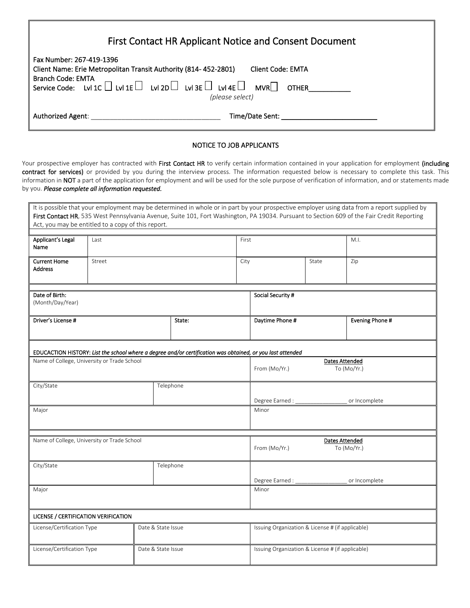| First Contact HR Applicant Notice and Consent Document                                                                                                                                                                                                                                   |  |  |  |  |
|------------------------------------------------------------------------------------------------------------------------------------------------------------------------------------------------------------------------------------------------------------------------------------------|--|--|--|--|
| Fax Number: 267-419-1396<br>Client Name: Erie Metropolitan Transit Authority (814-452-2801)<br><b>Client Code: EMTA</b><br><b>Branch Code: EMTA</b><br>Service Code: Lvl 1C $\Box$ Lvl 1E $\Box$ Lvl 2D $\Box$ Lvl 3E $\Box$ Lvl 4E $\Box$ MVR $\Box$<br><b>OTHER</b><br>(please select) |  |  |  |  |
| Time/Date Sent: The control of the control of the control of the control of the control of the control of the c<br>Authorized Agent:                                                                                                                                                     |  |  |  |  |

# NOTICE TO JOB APPLICANTS

Your prospective employer has contracted with First Contact HR to verify certain information contained in your application for employment (including contract for services) or provided by you during the interview process. The information requested below is necessary to complete this task. This information in NOT a part of the application for employment and will be used for the sole purpose of verification of information, and or statements made by you. *Please complete all information requested.*

| Act, you may be entitled to a copy of this report.                                                                                                        |                    |                    |           |                                                       |                                                       |     | It is possible that your employment may be determined in whole or in part by your prospective employer using data from a report supplied by<br>First Contact HR, 535 West Pennsylvania Avenue, Suite 101, Fort Washington, PA 19034. Pursuant to Section 609 of the Fair Credit Reporting |
|-----------------------------------------------------------------------------------------------------------------------------------------------------------|--------------------|--------------------|-----------|-------------------------------------------------------|-------------------------------------------------------|-----|-------------------------------------------------------------------------------------------------------------------------------------------------------------------------------------------------------------------------------------------------------------------------------------------|
| Applicant's Legal<br>Name                                                                                                                                 | Last               |                    |           |                                                       | First                                                 |     | M.I.                                                                                                                                                                                                                                                                                      |
| <b>Current Home</b><br><b>Address</b>                                                                                                                     | Street             |                    | City      |                                                       | State                                                 | Zip |                                                                                                                                                                                                                                                                                           |
| Date of Birth:<br>(Month/Day/Year)                                                                                                                        |                    |                    |           |                                                       | Social Security #                                     |     |                                                                                                                                                                                                                                                                                           |
| Driver's License #                                                                                                                                        |                    |                    | State:    |                                                       | Daytime Phone #                                       |     | Evening Phone #                                                                                                                                                                                                                                                                           |
|                                                                                                                                                           |                    |                    |           |                                                       |                                                       |     |                                                                                                                                                                                                                                                                                           |
| EDUCACTION HISTORY: List the school where a degree and/or certification was obtained, or you last attended<br>Name of College, University or Trade School |                    |                    |           | <b>Dates Attended</b><br>From (Mo/Yr.)<br>To (Mo/Yr.) |                                                       |     |                                                                                                                                                                                                                                                                                           |
| City/State                                                                                                                                                |                    |                    | Telephone |                                                       | Degree Earned : __<br>or Incomplete                   |     |                                                                                                                                                                                                                                                                                           |
| Major                                                                                                                                                     |                    |                    |           |                                                       | Minor                                                 |     |                                                                                                                                                                                                                                                                                           |
| Name of College, University or Trade School                                                                                                               |                    |                    |           |                                                       | <b>Dates Attended</b><br>From (Mo/Yr.)<br>To (Mo/Yr.) |     |                                                                                                                                                                                                                                                                                           |
| City/State                                                                                                                                                | Telephone          |                    |           | Degree Earned :<br>or Incomplete                      |                                                       |     |                                                                                                                                                                                                                                                                                           |
| Major                                                                                                                                                     |                    |                    | Minor     |                                                       |                                                       |     |                                                                                                                                                                                                                                                                                           |
| LICENSE / CERTIFICATION VERIFICATION                                                                                                                      |                    |                    |           |                                                       |                                                       |     |                                                                                                                                                                                                                                                                                           |
| License/Certification Type                                                                                                                                | Date & State Issue |                    |           | Issuing Organization & License # (if applicable)      |                                                       |     |                                                                                                                                                                                                                                                                                           |
| License/Certification Type                                                                                                                                |                    | Date & State Issue |           |                                                       | Issuing Organization & License # (if applicable)      |     |                                                                                                                                                                                                                                                                                           |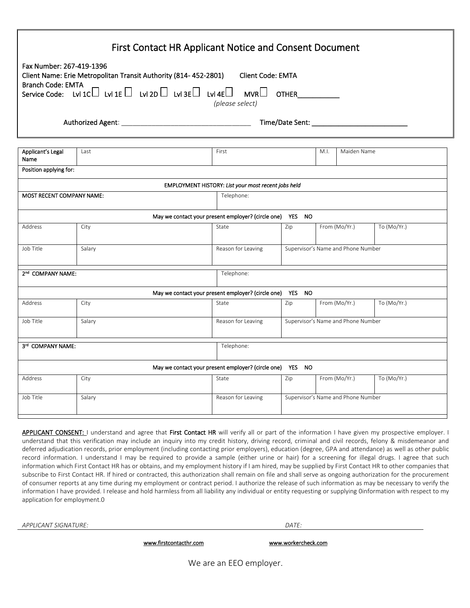|                                                      | <b>First Contact HR Applicant Notice and Consent Document</b>                           |                                                           |              |                                    |             |
|------------------------------------------------------|-----------------------------------------------------------------------------------------|-----------------------------------------------------------|--------------|------------------------------------|-------------|
| Fax Number: 267-419-1396<br><b>Branch Code: EMTA</b> | Client Name: Erie Metropolitan Transit Authority (814-452-2801)                         | Client Code: EMTA                                         |              |                                    |             |
|                                                      | Service Code: Lvl 1C Lvl 1E $\Box$ Lvl 2D $\Box$ Lvl 3E $\Box$ Lvl 4E $\Box$ MVR $\Box$ | (please select)                                           | <b>OTHER</b> |                                    |             |
|                                                      |                                                                                         |                                                           |              |                                    |             |
| Applicant's Legal<br>Name                            | Last                                                                                    | First                                                     |              | M.I.<br>Maiden Name                |             |
| Position applying for:                               |                                                                                         |                                                           |              |                                    |             |
|                                                      |                                                                                         | EMPLOYMENT HISTORY: List your most recent jobs held       |              |                                    |             |
| <b>MOST RECENT COMPANY NAME:</b>                     |                                                                                         | Telephone:                                                |              |                                    |             |
|                                                      |                                                                                         | May we contact your present employer? (circle one) YES NO |              |                                    |             |
| Address                                              | City                                                                                    | State                                                     | Zip          | From (Mo/Yr.)                      | To (Mo/Yr.) |
| Job Title                                            | Salary                                                                                  | Reason for Leaving                                        |              | Supervisor's Name and Phone Number |             |
| 2 <sup>nd</sup> COMPANY NAME:                        |                                                                                         | Telephone:                                                |              |                                    |             |
|                                                      |                                                                                         | May we contact your present employer? (circle one)        | YES NO       |                                    |             |
| Address                                              | City                                                                                    | State                                                     | Zip          | From (Mo/Yr.)                      | To (Mo/Yr.) |
| Job Title                                            | Salary                                                                                  | Reason for Leaving                                        |              | Supervisor's Name and Phone Number |             |
| 3rd COMPANY NAME:                                    |                                                                                         | Telephone:                                                |              |                                    |             |
|                                                      |                                                                                         | May we contact your present employer? (circle one) YES NO |              |                                    |             |
| Address                                              | City                                                                                    | State                                                     | Zip          | From (Mo/Yr.)                      | To (Mo/Yr.) |
| Job Title                                            | Salary                                                                                  | Reason for Leaving                                        |              | Supervisor's Name and Phone Number |             |
|                                                      |                                                                                         |                                                           |              |                                    |             |

APPLICANT CONSENT: I understand and agree that First Contact HR will verify all or part of the information I have given my prospective employer. I understand that this verification may include an inquiry into my credit history, driving record, criminal and civil records, felony & misdemeanor and deferred adjudication records, prior employment (including contacting prior employers), education (degree, GPA and attendance) as well as other public record information. I understand I may be required to provide a sample (either urine or hair) for a screening for illegal drugs. I agree that such information which First Contact HR has or obtains, and my employment history if I am hired, may be supplied by First Contact HR to other companies that subscribe to First Contact HR. If hired or contracted, this authorization shall remain on file and shall serve as ongoing authorization for the procurement of consumer reports at any time during my employment or contract period. I authorize the release of such information as may be necessary to verify the information I have provided. I release and hold harmless from all liability any individual or entity requesting or supplying 0information with respect to my application for employment.0

*APPLICANT SIGNATURE: DATE:*

[www.firstcontacthr.com](http://www.firstcontacthr.com/) www.workercheck.com

We are an EEO employer.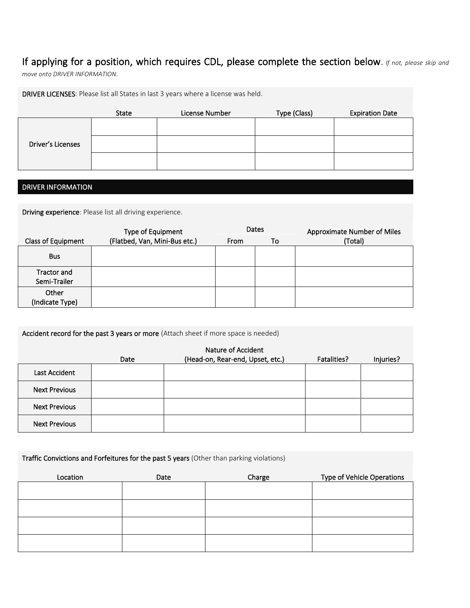# If applying for a position, which requires CDL, please complete the section below. *If not, please skip and*

*move onto DRIVER INFORMATION*.

|                   |       | DRIVER LICENSES: Please list all States in last 3 years where a license was held. |              |                        |
|-------------------|-------|-----------------------------------------------------------------------------------|--------------|------------------------|
|                   | State | License Number                                                                    | Type (Class) | <b>Expiration Date</b> |
|                   |       |                                                                                   |              |                        |
| Driver's Licenses |       |                                                                                   |              |                        |
|                   |       |                                                                                   |              |                        |

# DRIVER INFORMATION

Driving experience: Please list all driving experience.

|                                    | Type of Equipment             |      | <b>Dates</b> | Approximate Number of Miles |
|------------------------------------|-------------------------------|------|--------------|-----------------------------|
| <b>Class of Equipment</b>          | (Flatbed, Van, Mini-Bus etc.) | From | To           | (Total)                     |
| <b>Bus</b>                         |                               |      |              |                             |
| <b>Tractor and</b><br>Semi-Trailer |                               |      |              |                             |
| Other<br>(Indicate Type)           |                               |      |              |                             |

Accident record for the past 3 years or more (Attach sheet if more space is needed)

|                      |      | Nature of Accident               |             |           |
|----------------------|------|----------------------------------|-------------|-----------|
|                      | Date | (Head-on, Rear-end, Upset, etc.) | Fatalities? | Injuries? |
| Last Accident        |      |                                  |             |           |
| <b>Next Previous</b> |      |                                  |             |           |
| <b>Next Previous</b> |      |                                  |             |           |
| <b>Next Previous</b> |      |                                  |             |           |

Traffic Convictions and Forfeitures for the past 5 years (Other than parking violations)

| Location | Date | Charge | Type of Vehicle Operations |
|----------|------|--------|----------------------------|
|          |      |        |                            |
|          |      |        |                            |
|          |      |        |                            |
|          |      |        |                            |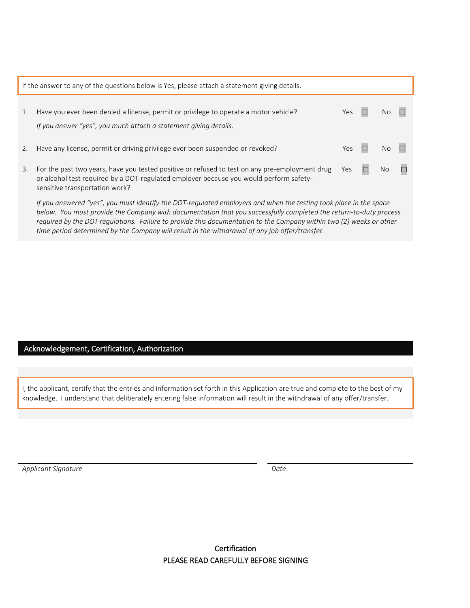|    | If the answer to any of the questions below is Yes, please attach a statement giving details.                                                                                                                                                                                                                                                                                                                                                                   |            |     |  |
|----|-----------------------------------------------------------------------------------------------------------------------------------------------------------------------------------------------------------------------------------------------------------------------------------------------------------------------------------------------------------------------------------------------------------------------------------------------------------------|------------|-----|--|
| 1. | Have you ever been denied a license, permit or privilege to operate a motor vehicle?<br>If you answer "yes", you much attach a statement giving details.                                                                                                                                                                                                                                                                                                        | <b>Yes</b> |     |  |
| 2. | Have any license, permit or driving privilege ever been suspended or revoked?                                                                                                                                                                                                                                                                                                                                                                                   | Yes        | N٥  |  |
| 3. | For the past two years, have you tested positive or refused to test on any pre-employment drug<br>or alcohol test required by a DOT-regulated employer because you would perform safety-<br>sensitive transportation work?                                                                                                                                                                                                                                      | <b>Yes</b> | NO. |  |
|    | If you answered "yes", you must identify the DOT-regulated employers and when the testing took place in the space<br>below. You must provide the Company with documentation that you successfully completed the return-to-duty process<br>required by the DOT regulations. Failure to provide this documentation to the Company within two (2) weeks or other<br>time period determined by the Company will result in the withdrawal of any job offer/transfer. |            |     |  |
|    |                                                                                                                                                                                                                                                                                                                                                                                                                                                                 |            |     |  |

# Acknowledgement, Certification, Authorization

I, the applicant, certify that the entries and information set forth in this Application are true and complete to the best of my knowledge. I understand that deliberately entering false information will result in the withdrawal of any offer/transfer.

*Applicant Signature Date*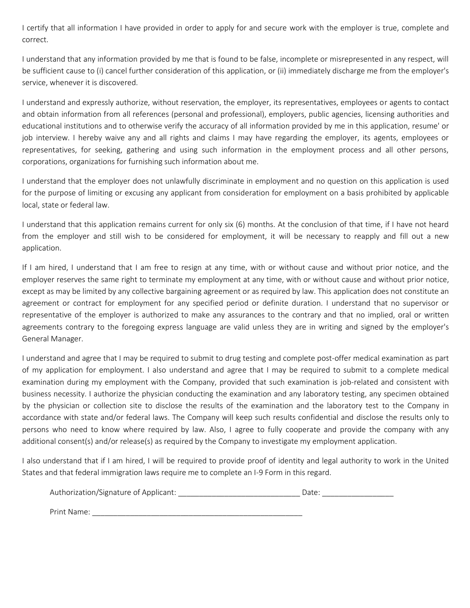I certify that all information I have provided in order to apply for and secure work with the employer is true, complete and correct.

I understand that any information provided by me that is found to be false, incomplete or misrepresented in any respect, will be sufficient cause to (i) cancel further consideration of this application, or (ii) immediately discharge me from the employer's service, whenever it is discovered.

I understand and expressly authorize, without reservation, the employer, its representatives, employees or agents to contact and obtain information from all references (personal and professional), employers, public agencies, licensing authorities and educational institutions and to otherwise verify the accuracy of all information provided by me in this application, resume' or job interview. I hereby waive any and all rights and claims I may have regarding the employer, its agents, employees or representatives, for seeking, gathering and using such information in the employment process and all other persons, corporations, organizations for furnishing such information about me.

I understand that the employer does not unlawfully discriminate in employment and no question on this application is used for the purpose of limiting or excusing any applicant from consideration for employment on a basis prohibited by applicable local, state or federal law.

I understand that this application remains current for only six (6) months. At the conclusion of that time, if I have not heard from the employer and still wish to be considered for employment, it will be necessary to reapply and fill out a new application.

If I am hired, I understand that I am free to resign at any time, with or without cause and without prior notice, and the employer reserves the same right to terminate my employment at any time, with or without cause and without prior notice, except as may be limited by any collective bargaining agreement or as required by law. This application does not constitute an agreement or contract for employment for any specified period or definite duration. I understand that no supervisor or representative of the employer is authorized to make any assurances to the contrary and that no implied, oral or written agreements contrary to the foregoing express language are valid unless they are in writing and signed by the employer's General Manager.

I understand and agree that I may be required to submit to drug testing and complete post-offer medical examination as part of my application for employment. I also understand and agree that I may be required to submit to a complete medical examination during my employment with the Company, provided that such examination is job-related and consistent with business necessity. I authorize the physician conducting the examination and any laboratory testing, any specimen obtained by the physician or collection site to disclose the results of the examination and the laboratory test to the Company in accordance with state and/or federal laws. The Company will keep such results confidential and disclose the results only to persons who need to know where required by law. Also, I agree to fully cooperate and provide the company with any additional consent(s) and/or release(s) as required by the Company to investigate my employment application.

I also understand that if I am hired, I will be required to provide proof of identity and legal authority to work in the United States and that federal immigration laws require me to complete an I-9 Form in this regard.

| Authorization/Signature of Applicant: | Date: |
|---------------------------------------|-------|
| Print Name:                           |       |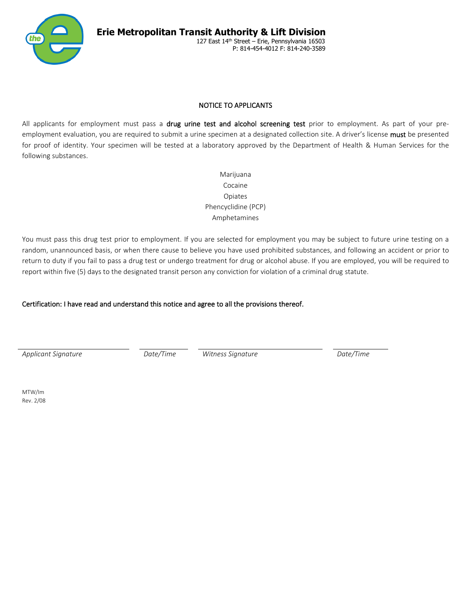

### NOTICE TO APPLICANTS

All applicants for employment must pass a drug urine test and alcohol screening test prior to employment. As part of your preemployment evaluation, you are required to submit a urine specimen at a designated collection site. A driver's license must be presented for proof of identity. Your specimen will be tested at a laboratory approved by the Department of Health & Human Services for the following substances.

> Marijuana Cocaine Opiates Phencyclidine (PCP) Amphetamines

You must pass this drug test prior to employment. If you are selected for employment you may be subject to future urine testing on a random, unannounced basis, or when there cause to believe you have used prohibited substances, and following an accident or prior to return to duty if you fail to pass a drug test or undergo treatment for drug or alcohol abuse. If you are employed, you will be required to report within five (5) days to the designated transit person any conviction for violation of a criminal drug statute.

# Certification: I have read and understand this notice and agree to all the provisions thereof.

*Applicant Signature Date/Time Witness Signature Date/Time*

MTW/Im Rev. 2/08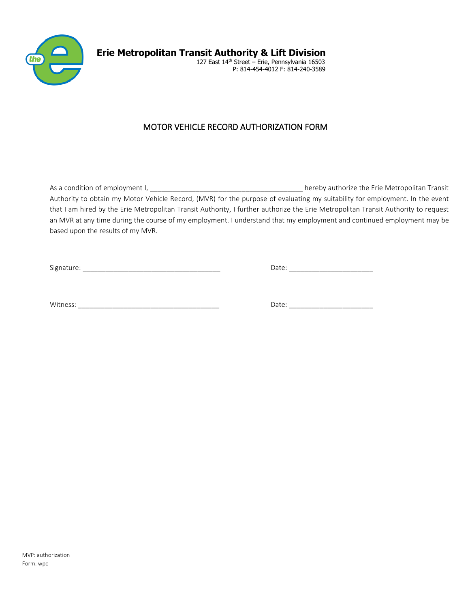

**Erie Metropolitan Transit Authority & Lift Division**  127 East 14<sup>th</sup> Street – Erie, Pennsylvania 16503 P: 814-454-4012 F: 814-240-3589

# MOTOR VEHICLE RECORD AUTHORIZATION FORM

As a condition of employment I, and the state of the state of the extendition of employment I, and the state of the Erie Metropolitan Transit Authority to obtain my Motor Vehicle Record, (MVR) for the purpose of evaluating my suitability for employment. In the event that I am hired by the Erie Metropolitan Transit Authority, I further authorize the Erie Metropolitan Transit Authority to request an MVR at any time during the course of my employment. I understand that my employment and continued employment may be based upon the results of my MVR.

Signature: \_\_\_\_\_\_\_\_\_\_\_\_\_\_\_\_\_\_\_\_\_\_\_\_\_\_\_\_\_\_\_\_\_\_\_\_ Date: \_\_\_\_\_\_\_\_\_\_\_\_\_\_\_\_\_\_\_\_\_\_

Witness: \_\_\_\_\_\_\_\_\_\_\_\_\_\_\_\_\_\_\_\_\_\_\_\_\_\_\_\_\_\_\_\_\_\_\_\_\_ Date: \_\_\_\_\_\_\_\_\_\_\_\_\_\_\_\_\_\_\_\_\_\_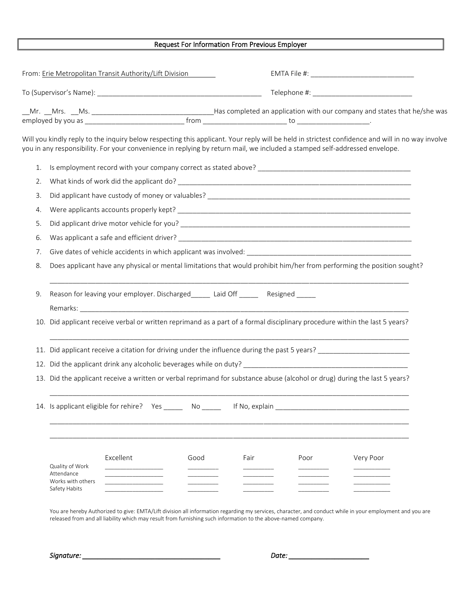#### Request For Information From Previous Employer

|                                                                                                                                |                                                                                                                            | From: Erie Metropolitan Transit Authority/Lift Division                                                                                                                                                                                                                        |      |      |      |           |  |
|--------------------------------------------------------------------------------------------------------------------------------|----------------------------------------------------------------------------------------------------------------------------|--------------------------------------------------------------------------------------------------------------------------------------------------------------------------------------------------------------------------------------------------------------------------------|------|------|------|-----------|--|
|                                                                                                                                |                                                                                                                            |                                                                                                                                                                                                                                                                                |      |      |      |           |  |
|                                                                                                                                |                                                                                                                            |                                                                                                                                                                                                                                                                                |      |      |      |           |  |
|                                                                                                                                |                                                                                                                            | Will you kindly reply to the inquiry below respecting this applicant. Your reply will be held in strictest confidence and will in no way involve<br>you in any responsibility. For your convenience in replying by return mail, we included a stamped self-addressed envelope. |      |      |      |           |  |
| 1.                                                                                                                             |                                                                                                                            |                                                                                                                                                                                                                                                                                |      |      |      |           |  |
| 2.                                                                                                                             |                                                                                                                            |                                                                                                                                                                                                                                                                                |      |      |      |           |  |
| 3.                                                                                                                             |                                                                                                                            |                                                                                                                                                                                                                                                                                |      |      |      |           |  |
| 4.                                                                                                                             |                                                                                                                            |                                                                                                                                                                                                                                                                                |      |      |      |           |  |
| 5.                                                                                                                             |                                                                                                                            |                                                                                                                                                                                                                                                                                |      |      |      |           |  |
| 6.                                                                                                                             |                                                                                                                            |                                                                                                                                                                                                                                                                                |      |      |      |           |  |
| 7.                                                                                                                             |                                                                                                                            |                                                                                                                                                                                                                                                                                |      |      |      |           |  |
| 8.                                                                                                                             |                                                                                                                            | Does applicant have any physical or mental limitations that would prohibit him/her from performing the position sought?                                                                                                                                                        |      |      |      |           |  |
| 9.                                                                                                                             | Reason for leaving your employer. Discharged _______ Laid Off ________ Resigned ______                                     |                                                                                                                                                                                                                                                                                |      |      |      |           |  |
| Did applicant receive verbal or written reprimand as a part of a formal disciplinary procedure within the last 5 years?<br>10. |                                                                                                                            |                                                                                                                                                                                                                                                                                |      |      |      |           |  |
|                                                                                                                                | Did applicant receive a citation for driving under the influence during the past 5 years? ____________________<br>11.      |                                                                                                                                                                                                                                                                                |      |      |      |           |  |
|                                                                                                                                |                                                                                                                            |                                                                                                                                                                                                                                                                                |      |      |      |           |  |
|                                                                                                                                | 13. Did the applicant receive a written or verbal reprimand for substance abuse (alcohol or drug) during the last 5 years? |                                                                                                                                                                                                                                                                                |      |      |      |           |  |
|                                                                                                                                | 14. Is applicant eligible for rehire? Yes _______ No ______<br>If No, explain                                              |                                                                                                                                                                                                                                                                                |      |      |      |           |  |
|                                                                                                                                |                                                                                                                            |                                                                                                                                                                                                                                                                                |      |      |      |           |  |
|                                                                                                                                | Quality of Work<br>Attendance<br>Works with others                                                                         | Excellent                                                                                                                                                                                                                                                                      | Good | Fair | Poor | Very Poor |  |
|                                                                                                                                | Safety Habits                                                                                                              |                                                                                                                                                                                                                                                                                |      |      |      |           |  |

You are hereby Authorized to give: EMTA/Lift division all information regarding my services, character, and conduct while in your employment and you are released from and all liability which may result from furnishing such information to the above-named company.

*Signature: \_\_\_\_\_\_\_\_\_\_\_\_\_\_\_\_\_\_\_\_\_\_\_\_\_\_\_\_\_\_\_\_\_\_\_\_ Date: \_\_\_\_\_\_\_\_\_\_\_\_\_\_\_\_\_\_\_\_\_*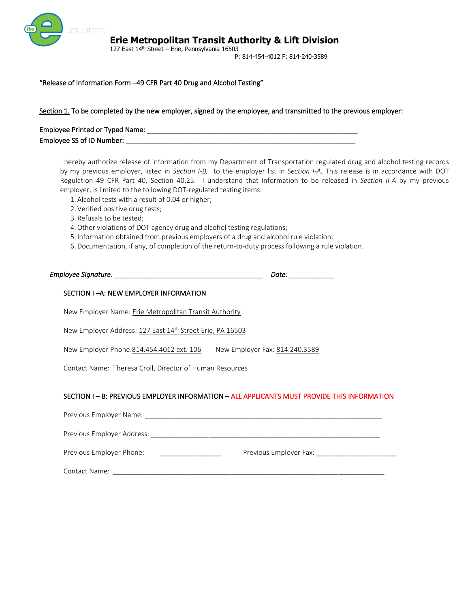

 127 East 14th Street – Erie, Pennsylvania 16503 **Erie Metropolitan Transit Authority & Lift Division**

P: 814-454-4012 F: 814-240-3589

#### "Release of Information Form –49 CFR Part 40 Drug and Alcohol Testing"

#### Section 1. To be completed by the new employer, signed by the employee, and transmitted to the previous employer:

| Employee Printed or Typed Name: |  |
|---------------------------------|--|
| Employee SS of ID Number:       |  |

I hereby authorize release of information from my Department of Transportation regulated drug and alcohol testing records by my previous employer, listed in *Section I-B,* to the employer list in *Section I-A.* This release is in accordance with DOT Regulation 49 CFR Part 40, Section 40.25. I understand that information to be released in *Section II-A* by my previous employer, is limited to the following DOT-regulated testing items:

- 1. Alcohol tests with a result of 0.04 or higher;
- 2. Verified positive drug tests;
- 3. Refusals to be tested;
- 4.Other violations of DOT agency drug and alcohol testing regulations;
- 5. Information obtained from previous employers of a drug and alcohol rule violation;
- 6. Documentation, if any, of completion of the return-to-duty process following a rule violation.

*Employee Signature: \_\_\_\_\_\_\_\_\_\_\_\_\_\_\_\_\_\_\_\_\_\_\_\_\_\_\_\_\_\_\_\_\_\_\_\_\_\_\_ Date: \_\_\_\_\_\_\_\_\_\_\_\_*

### SECTION I –A: NEW EMPLOYER INFORMATION

New Employer Name: Erie Metropolitan Transit Authority

New Employer Address: 127 East 14<sup>th</sup> Street Erie, PA 16503

New Employer Phone: 814.454.4012 ext. 106 New Employer Fax: 814.240.3589

Contact Name: Theresa Croll, Director of Human Resources

#### SECTION I – B: PREVIOUS EMPLOYER INFORMATION – ALL APPLICANTS MUST PROVIDE THIS INFORMATION

| Previous Employer Name:    |                        |
|----------------------------|------------------------|
| Previous Employer Address: |                        |
| Previous Employer Phone:   | Previous Employer Fax: |
| Contact Name:              |                        |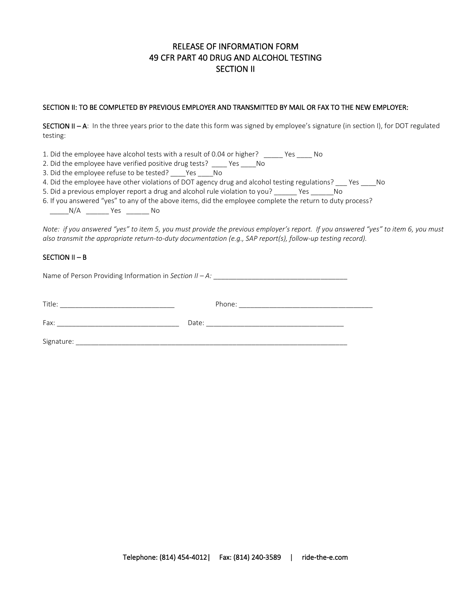# RELEASE OF INFORMATION FORM 49 CFR PART 40 DRUG AND ALCOHOL TESTING SECTION II

### SECTION II: TO BE COMPLETED BY PREVIOUS EMPLOYER AND TRANSMITTED BY MAIL OR FAX TO THE NEW EMPLOYER:

SECTION II - A: In the three years prior to the date this form was signed by employee's signature (in section I), for DOT regulated testing:

1. Did the employee have alcohol tests with a result of 0.04 or higher? \_\_\_\_\_ Yes \_\_\_\_ No

2. Did the employee have verified positive drug tests? \_\_\_\_ Yes \_\_\_\_No

3. Did the employee refuse to be tested? \_\_\_\_Yes \_\_\_\_No

4. Did the employee have other violations of DOT agency drug and alcohol testing regulations? \_\_\_ Yes \_\_\_\_No

5. Did a previous employer report a drug and alcohol rule violation to you? \_\_\_\_\_\_ Yes \_\_\_\_\_\_No

6. If you answered "yes" to any of the above items, did the employee complete the return to duty process?

\_\_\_\_\_N/A \_\_\_\_\_\_ Yes \_\_\_\_\_\_ No

*Note: if you answered "yes" to item 5, you must provide the previous employer's report. If you answered "yes" to item 6, you must also transmit the appropriate return-to-duty documentation (e.g., SAP report(s), follow-up testing record).*

### SECTION II – B